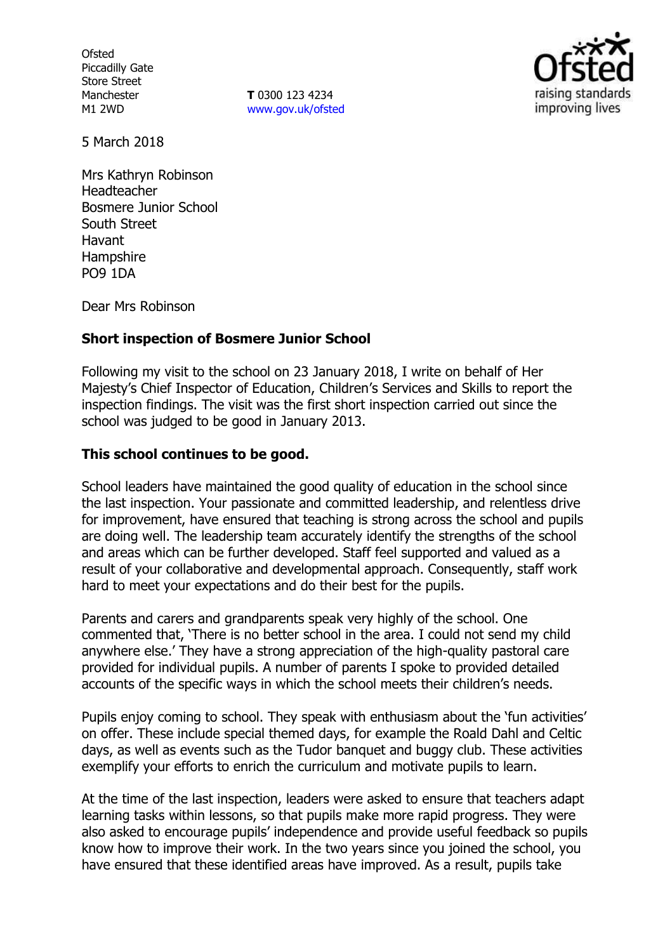**Ofsted** Piccadilly Gate Store Street Manchester M1 2WD

**T** 0300 123 4234 www.gov.uk/ofsted



5 March 2018

Mrs Kathryn Robinson Headteacher Bosmere Junior School South Street Havant **Hampshire** PO9 1DA

Dear Mrs Robinson

### **Short inspection of Bosmere Junior School**

Following my visit to the school on 23 January 2018, I write on behalf of Her Majesty's Chief Inspector of Education, Children's Services and Skills to report the inspection findings. The visit was the first short inspection carried out since the school was judged to be good in January 2013.

### **This school continues to be good.**

School leaders have maintained the good quality of education in the school since the last inspection. Your passionate and committed leadership, and relentless drive for improvement, have ensured that teaching is strong across the school and pupils are doing well. The leadership team accurately identify the strengths of the school and areas which can be further developed. Staff feel supported and valued as a result of your collaborative and developmental approach. Consequently, staff work hard to meet your expectations and do their best for the pupils.

Parents and carers and grandparents speak very highly of the school. One commented that, 'There is no better school in the area. I could not send my child anywhere else.' They have a strong appreciation of the high-quality pastoral care provided for individual pupils. A number of parents I spoke to provided detailed accounts of the specific ways in which the school meets their children's needs.

Pupils enjoy coming to school. They speak with enthusiasm about the 'fun activities' on offer. These include special themed days, for example the Roald Dahl and Celtic days, as well as events such as the Tudor banquet and buggy club. These activities exemplify your efforts to enrich the curriculum and motivate pupils to learn.

At the time of the last inspection, leaders were asked to ensure that teachers adapt learning tasks within lessons, so that pupils make more rapid progress. They were also asked to encourage pupils' independence and provide useful feedback so pupils know how to improve their work. In the two years since you joined the school, you have ensured that these identified areas have improved. As a result, pupils take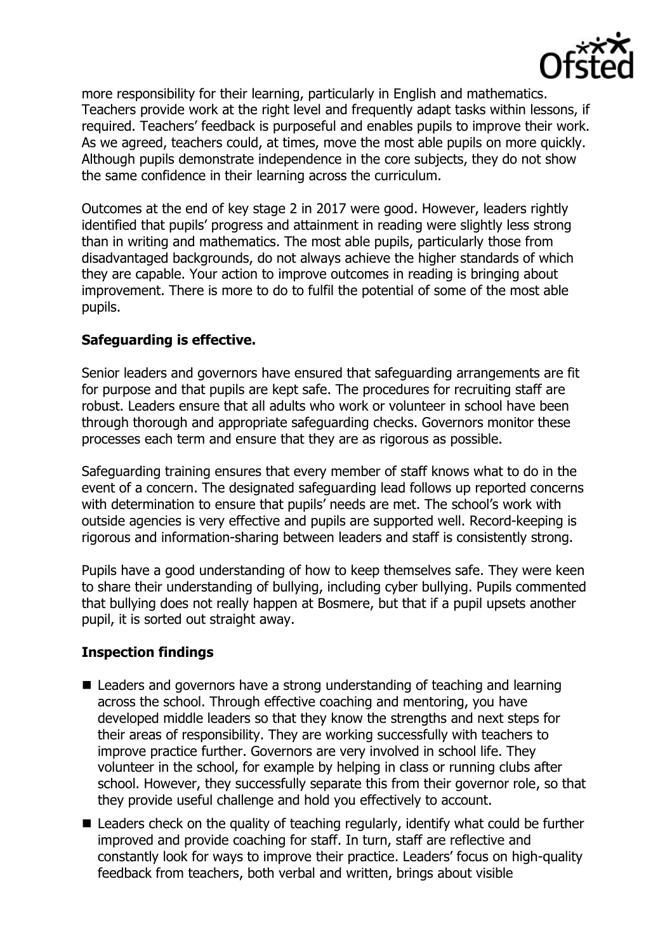

more responsibility for their learning, particularly in English and mathematics. Teachers provide work at the right level and frequently adapt tasks within lessons, if required. Teachers' feedback is purposeful and enables pupils to improve their work. As we agreed, teachers could, at times, move the most able pupils on more quickly. Although pupils demonstrate independence in the core subjects, they do not show the same confidence in their learning across the curriculum.

Outcomes at the end of key stage 2 in 2017 were good. However, leaders rightly identified that pupils' progress and attainment in reading were slightly less strong than in writing and mathematics. The most able pupils, particularly those from disadvantaged backgrounds, do not always achieve the higher standards of which they are capable. Your action to improve outcomes in reading is bringing about improvement. There is more to do to fulfil the potential of some of the most able pupils.

# **Safeguarding is effective.**

Senior leaders and governors have ensured that safeguarding arrangements are fit for purpose and that pupils are kept safe. The procedures for recruiting staff are robust. Leaders ensure that all adults who work or volunteer in school have been through thorough and appropriate safeguarding checks. Governors monitor these processes each term and ensure that they are as rigorous as possible.

Safeguarding training ensures that every member of staff knows what to do in the event of a concern. The designated safeguarding lead follows up reported concerns with determination to ensure that pupils' needs are met. The school's work with outside agencies is very effective and pupils are supported well. Record-keeping is rigorous and information-sharing between leaders and staff is consistently strong.

Pupils have a good understanding of how to keep themselves safe. They were keen to share their understanding of bullying, including cyber bullying. Pupils commented that bullying does not really happen at Bosmere, but that if a pupil upsets another pupil, it is sorted out straight away.

# **Inspection findings**

- Leaders and governors have a strong understanding of teaching and learning across the school. Through effective coaching and mentoring, you have developed middle leaders so that they know the strengths and next steps for their areas of responsibility. They are working successfully with teachers to improve practice further. Governors are very involved in school life. They volunteer in the school, for example by helping in class or running clubs after school. However, they successfully separate this from their governor role, so that they provide useful challenge and hold you effectively to account.
- Leaders check on the quality of teaching regularly, identify what could be further improved and provide coaching for staff. In turn, staff are reflective and constantly look for ways to improve their practice. Leaders' focus on high-quality feedback from teachers, both verbal and written, brings about visible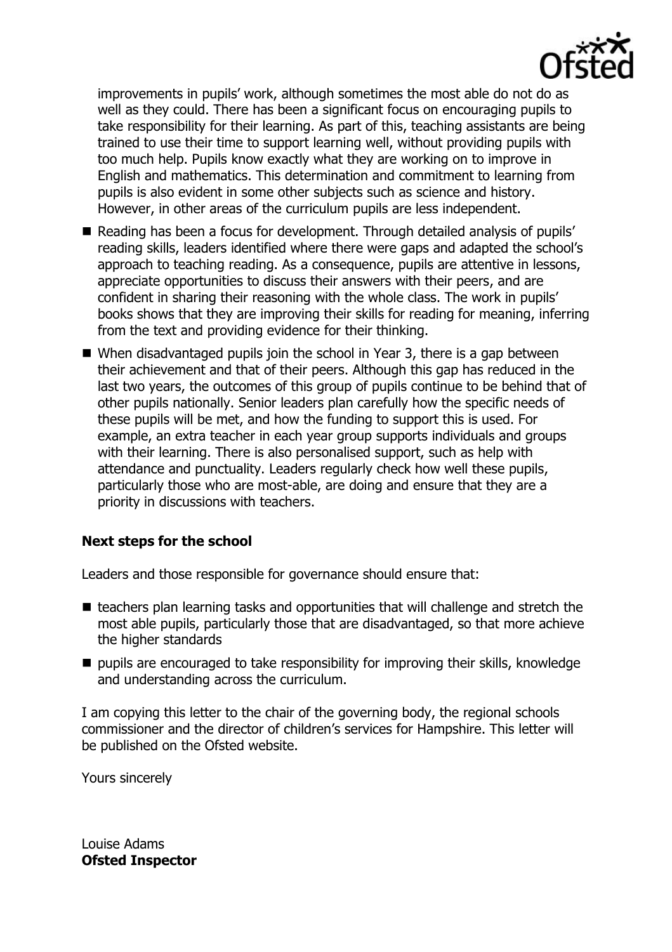

improvements in pupils' work, although sometimes the most able do not do as well as they could. There has been a significant focus on encouraging pupils to take responsibility for their learning. As part of this, teaching assistants are being trained to use their time to support learning well, without providing pupils with too much help. Pupils know exactly what they are working on to improve in English and mathematics. This determination and commitment to learning from pupils is also evident in some other subjects such as science and history. However, in other areas of the curriculum pupils are less independent.

- Reading has been a focus for development. Through detailed analysis of pupils' reading skills, leaders identified where there were gaps and adapted the school's approach to teaching reading. As a consequence, pupils are attentive in lessons, appreciate opportunities to discuss their answers with their peers, and are confident in sharing their reasoning with the whole class. The work in pupils' books shows that they are improving their skills for reading for meaning, inferring from the text and providing evidence for their thinking.
- When disadvantaged pupils join the school in Year 3, there is a gap between their achievement and that of their peers. Although this gap has reduced in the last two years, the outcomes of this group of pupils continue to be behind that of other pupils nationally. Senior leaders plan carefully how the specific needs of these pupils will be met, and how the funding to support this is used. For example, an extra teacher in each year group supports individuals and groups with their learning. There is also personalised support, such as help with attendance and punctuality. Leaders regularly check how well these pupils, particularly those who are most-able, are doing and ensure that they are a priority in discussions with teachers.

# **Next steps for the school**

Leaders and those responsible for governance should ensure that:

- teachers plan learning tasks and opportunities that will challenge and stretch the most able pupils, particularly those that are disadvantaged, so that more achieve the higher standards
- $\blacksquare$  pupils are encouraged to take responsibility for improving their skills, knowledge and understanding across the curriculum.

I am copying this letter to the chair of the governing body, the regional schools commissioner and the director of children's services for Hampshire. This letter will be published on the Ofsted website.

Yours sincerely

Louise Adams **Ofsted Inspector**